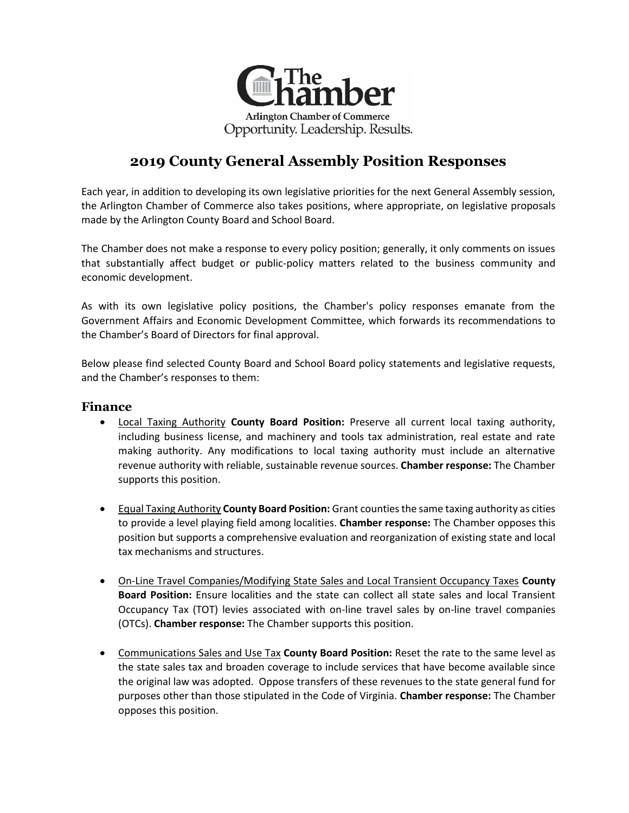

# **2019 County General Assembly Position Responses**

Each year, in addition to developing its own legislative priorities for the next General Assembly session, the Arlington Chamber of Commerce also takes positions, where appropriate, on legislative proposals made by the Arlington County Board and School Board.

The Chamber does not make a response to every policy position; generally, it only comments on issues that substantially affect budget or public-policy matters related to the business community and economic development.

As with its own legislative policy positions, the Chamber's policy responses emanate from the Government Affairs and Economic Development Committee, which forwards its recommendations to the Chamber's Board of Directors for final approval.

Below please find selected County Board and School Board policy statements and legislative requests, and the Chamber's responses to them:

#### **Finance**

- Local Taxing Authority **County Board Position:** Preserve all current local taxing authority, including business license, and machinery and tools tax administration, real estate and rate making authority. Any modifications to local taxing authority must include an alternative revenue authority with reliable, sustainable revenue sources. **Chamber response:** The Chamber supports this position.
- Equal Taxing Authority **County Board Position:** Grant counties the same taxing authority as cities to provide a level playing field among localities. **Chamber response:** The Chamber opposes this position but supports a comprehensive evaluation and reorganization of existing state and local tax mechanisms and structures.
- On-Line Travel Companies/Modifying State Sales and Local Transient Occupancy Taxes **County Board Position:** Ensure localities and the state can collect all state sales and local Transient Occupancy Tax (TOT) levies associated with on-line travel sales by on-line travel companies (OTCs). **Chamber response:** The Chamber supports this position.
- Communications Sales and Use Tax **County Board Position:** Reset the rate to the same level as the state sales tax and broaden coverage to include services that have become available since the original law was adopted. Oppose transfers of these revenues to the state general fund for purposes other than those stipulated in the Code of Virginia. **Chamber response:** The Chamber opposes this position.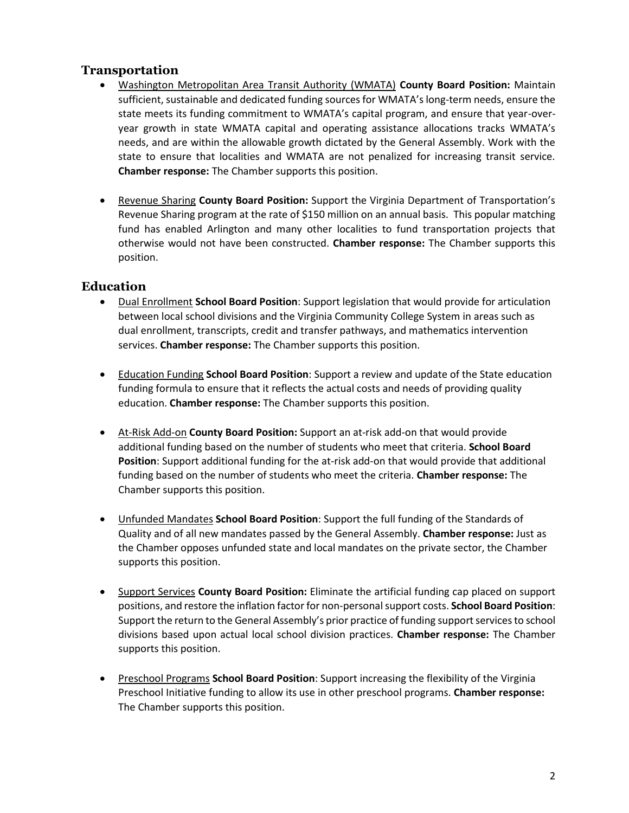#### **Transportation**

- Washington Metropolitan Area Transit Authority (WMATA) **County Board Position:** Maintain sufficient, sustainable and dedicated funding sources for WMATA's long-term needs, ensure the state meets its funding commitment to WMATA's capital program, and ensure that year-overyear growth in state WMATA capital and operating assistance allocations tracks WMATA's needs, and are within the allowable growth dictated by the General Assembly. Work with the state to ensure that localities and WMATA are not penalized for increasing transit service. **Chamber response:** The Chamber supports this position.
- Revenue Sharing **County Board Position:** Support the Virginia Department of Transportation's Revenue Sharing program at the rate of \$150 million on an annual basis. This popular matching fund has enabled Arlington and many other localities to fund transportation projects that otherwise would not have been constructed. **Chamber response:** The Chamber supports this position.

#### **Education**

- Dual Enrollment **School Board Position**: Support legislation that would provide for articulation between local school divisions and the Virginia Community College System in areas such as dual enrollment, transcripts, credit and transfer pathways, and mathematics intervention services. **Chamber response:** The Chamber supports this position.
- Education Funding **School Board Position**: Support a review and update of the State education funding formula to ensure that it reflects the actual costs and needs of providing quality education. **Chamber response:** The Chamber supports this position.
- At-Risk Add-on **County Board Position:** Support an at-risk add-on that would provide additional funding based on the number of students who meet that criteria. **School Board Position**: Support additional funding for the at-risk add-on that would provide that additional funding based on the number of students who meet the criteria. **Chamber response:** The Chamber supports this position.
- Unfunded Mandates **School Board Position**: Support the full funding of the Standards of Quality and of all new mandates passed by the General Assembly. **Chamber response:** Just as the Chamber opposes unfunded state and local mandates on the private sector, the Chamber supports this position.
- Support Services **County Board Position:** Eliminate the artificial funding cap placed on support positions, and restore the inflation factor for non-personal support costs. **School Board Position**: Support the return to the General Assembly's prior practice of funding support services to school divisions based upon actual local school division practices. **Chamber response:** The Chamber supports this position.
- Preschool Programs **School Board Position**: Support increasing the flexibility of the Virginia Preschool Initiative funding to allow its use in other preschool programs. **Chamber response:** The Chamber supports this position.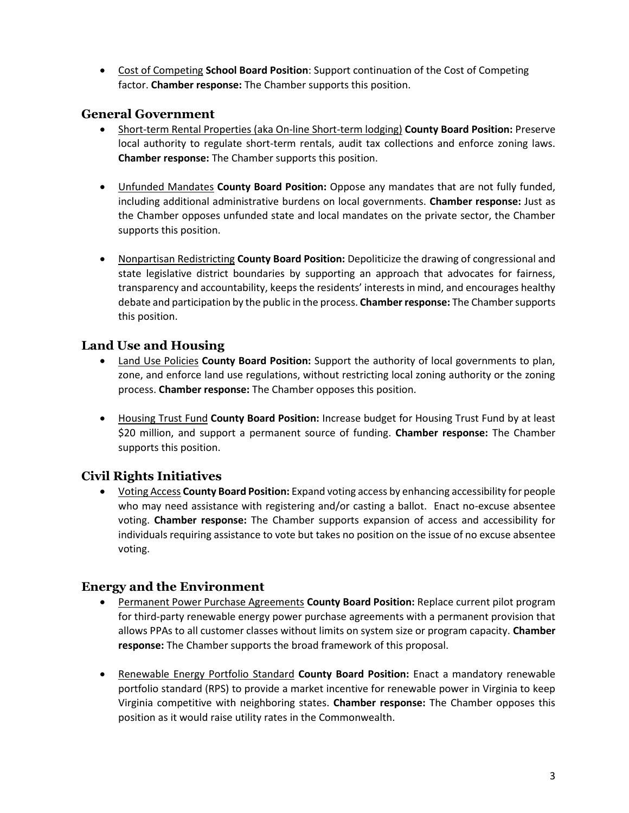Cost of Competing **School Board Position**: Support continuation of the Cost of Competing factor. **Chamber response:** The Chamber supports this position.

### **General Government**

- Short-term Rental Properties (aka On-line Short-term lodging) **County Board Position:** Preserve local authority to regulate short-term rentals, audit tax collections and enforce zoning laws. **Chamber response:** The Chamber supports this position.
- Unfunded Mandates **County Board Position:** Oppose any mandates that are not fully funded, including additional administrative burdens on local governments. **Chamber response:** Just as the Chamber opposes unfunded state and local mandates on the private sector, the Chamber supports this position.
- Nonpartisan Redistricting **County Board Position:** Depoliticize the drawing of congressional and state legislative district boundaries by supporting an approach that advocates for fairness, transparency and accountability, keeps the residents' interests in mind, and encourages healthy debate and participation by the public in the process. **Chamber response:** The Chamber supports this position.

# **Land Use and Housing**

- Land Use Policies **County Board Position:** Support the authority of local governments to plan, zone, and enforce land use regulations, without restricting local zoning authority or the zoning process. **Chamber response:** The Chamber opposes this position.
- Housing Trust Fund **County Board Position:** Increase budget for Housing Trust Fund by at least \$20 million, and support a permanent source of funding. **Chamber response:** The Chamber supports this position.

# **Civil Rights Initiatives**

 Voting Access **County Board Position:** Expand voting access by enhancing accessibility for people who may need assistance with registering and/or casting a ballot. Enact no-excuse absentee voting. **Chamber response:** The Chamber supports expansion of access and accessibility for individuals requiring assistance to vote but takes no position on the issue of no excuse absentee voting.

#### **Energy and the Environment**

- Permanent Power Purchase Agreements **County Board Position:** Replace current pilot program for third-party renewable energy power purchase agreements with a permanent provision that allows PPAs to all customer classes without limits on system size or program capacity. **Chamber response:** The Chamber supports the broad framework of this proposal.
- Renewable Energy Portfolio Standard **County Board Position:** Enact a mandatory renewable portfolio standard (RPS) to provide a market incentive for renewable power in Virginia to keep Virginia competitive with neighboring states. **Chamber response:** The Chamber opposes this position as it would raise utility rates in the Commonwealth.